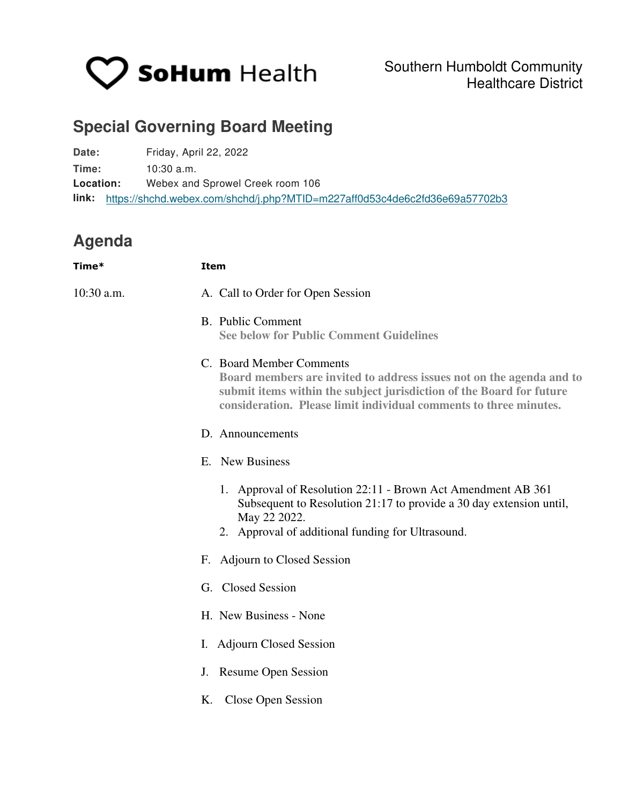

## **Special Governing Board Meeting**

**Date:** Friday, April 22, 2022 **Time:** 10:30 a.m. **Location:** Webex and Sprowel Creek room 106 **link:**  <https://shchd.webex.com/shchd/j.php?MTID=m227aff0d53c4de6c2fd36e69a57702b3>

## **Agenda**

| Time*      | <b>Item</b>                                                                                                                                                                                                                                   |
|------------|-----------------------------------------------------------------------------------------------------------------------------------------------------------------------------------------------------------------------------------------------|
| 10:30 a.m. | A. Call to Order for Open Session                                                                                                                                                                                                             |
|            | B. Public Comment<br><b>See below for Public Comment Guidelines</b>                                                                                                                                                                           |
|            | C. Board Member Comments<br>Board members are invited to address issues not on the agenda and to<br>submit items within the subject jurisdiction of the Board for future<br>consideration. Please limit individual comments to three minutes. |
|            | D. Announcements                                                                                                                                                                                                                              |
|            | E. New Business                                                                                                                                                                                                                               |
|            | 1. Approval of Resolution 22:11 - Brown Act Amendment AB 361<br>Subsequent to Resolution 21:17 to provide a 30 day extension until,<br>May 22 2022.<br>2. Approval of additional funding for Ultrasound.                                      |
|            | F. Adjourn to Closed Session                                                                                                                                                                                                                  |
|            | G. Closed Session                                                                                                                                                                                                                             |
|            | H. New Business - None                                                                                                                                                                                                                        |
|            | I. Adjourn Closed Session                                                                                                                                                                                                                     |
|            | J. Resume Open Session                                                                                                                                                                                                                        |
|            | Close Open Session<br>Κ.                                                                                                                                                                                                                      |